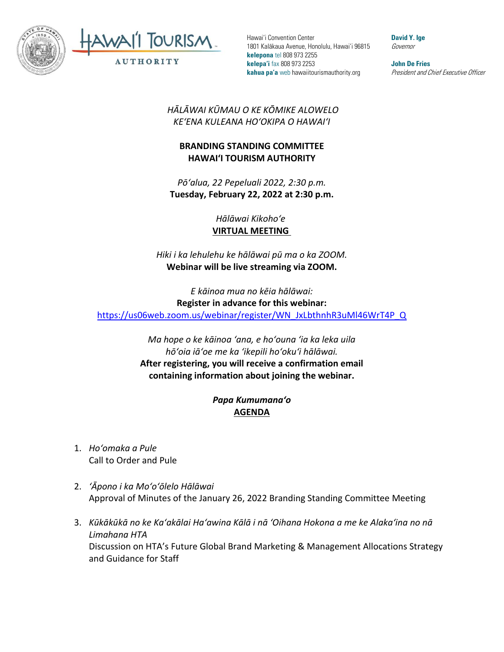



**David Y. Ige** Governor

**John De Fries** President and Chief Executive Officer

*HĀLĀWAI KŪMAU O KE KŌMIKE ALOWELO KEʻENA KULEANA HOʻOKIPA O HAWAIʻI* 

## **BRANDING STANDING COMMITTEE HAWAI'I TOURISM AUTHORITY**

*Pōʻalua, 22 Pepeluali 2022, 2:30 p.m.* **Tuesday, February 22, 2022 at 2:30 p.m.**

> *Hālāwai Kikohoʻe* **VIRTUAL MEETING**

*Hiki i ka lehulehu ke hālāwai pū ma o ka ZOOM.* **Webinar will be live streaming via ZOOM.**

*E kāinoa mua no kēia hālāwai:* **Register in advance for this webinar:** [https://us06web.zoom.us/webinar/register/WN\\_JxLbthnhR3uMl46WrT4P\\_Q](https://us06web.zoom.us/webinar/register/WN_JxLbthnhR3uMl46WrT4P_Q)

> *Ma hope o ke kāinoa ʻana, e hoʻouna ʻia ka leka uila hōʻoia iāʻoe me ka ʻikepili hoʻokuʻi hālāwai.*  **After registering, you will receive a confirmation email containing information about joining the webinar.**

## *Papa Kumumanaʻo* **AGENDA**

- 1. *Hoʻomaka a Pule* Call to Order and Pule
- 2. *ʻĀpono i ka Moʻoʻōlelo Hālāwai* Approval of Minutes of the January 26, 2022 Branding Standing Committee Meeting
- 3. *Kūkākūkā no ke Kaʻakālai Haʻawina Kālā i nā ʻOihana Hokona a me ke Alakaʻina no nā Limahana HTA* Discussion on HTA's Future Global Brand Marketing & Management Allocations Strategy and Guidance for Staff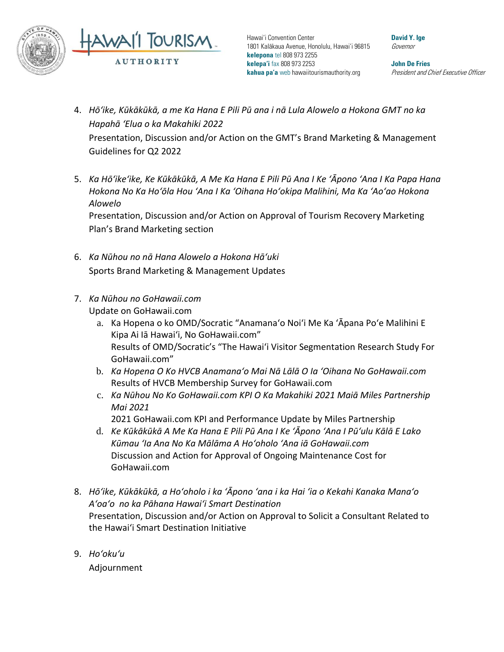

**David Y. Ige** Governor

**John De Fries** President and Chief Executive Officer

- 4. *Hōʻike, Kūkākūkā, a me Ka Hana E Pili Pū ana i nā Lula Alowelo a Hokona GMT no ka Hapahā ʻElua o ka Makahiki 2022* Presentation, Discussion and/or Action on the GMT's Brand Marketing & Management Guidelines for Q2 2022
- 5. *Ka Hōʻikeʻike, Ke Kūkākūkā, A Me Ka Hana E Pili Pū Ana I Ke ʻĀpono ʻAna I Ka Papa Hana Hokona No Ka Hoʻōla Hou ʻAna I Ka ʻOihana Hoʻokipa Malihini, Ma Ka ʻAoʻao Hokona Alowelo* Presentation, Discussion and/or Action on Approval of Tourism Recovery Marketing

Plan's Brand Marketing section

- 6. *Ka Nūhou no nā Hana Alowelo a Hokona Hāʻuki*  Sports Brand Marketing & Management Updates
- 7. *Ka Nūhou no GoHawaii.com* Update on GoHawaii.com
	- a. Ka Hopena o ko OMD/Socratic "Anamanaʻo Noiʻi Me Ka ʻĀpana Poʻe Malihini E Kipa Ai Iā Hawaiʻi, No GoHawaii.com" Results of OMD/Socratic's "The Hawaiʻi Visitor Segmentation Research Study For GoHawaii.com"
	- b. *Ka Hopena O Ko HVCB Anamanaʻo Mai Nā Lālā O Ia ʻOihana No GoHawaii.com* Results of HVCB Membership Survey for GoHawaii.com
	- c. *Ka Nūhou No Ko GoHawaii.com KPI O Ka Makahiki 2021 Maiā Miles Partnership Mai 2021*

2021 GoHawaii.com KPI and Performance Update by Miles Partnership

- d. *Ke Kūkākūkā A Me Ka Hana E Pili Pū Ana I Ke ʻĀpono ʻAna I Pūʻulu Kālā E Lako Kūmau ʻIa Ana No Ka Mālāma A Hoʻoholo ʻAna iā GoHawaii.com* Discussion and Action for Approval of Ongoing Maintenance Cost for GoHawaii.com
- 8. *Hōʻike, Kūkākūkā, a Hoʻoholo i ka ʻĀpono ʻana i ka Hai ʻia o Kekahi Kanaka Manaʻo Aʻoaʻo no ka Pāhana Hawaiʻi Smart Destination* Presentation, Discussion and/or Action on Approval to Solicit a Consultant Related to the Hawai'i Smart Destination Initiative
- 9. *Hoʻokuʻu*

Adjournment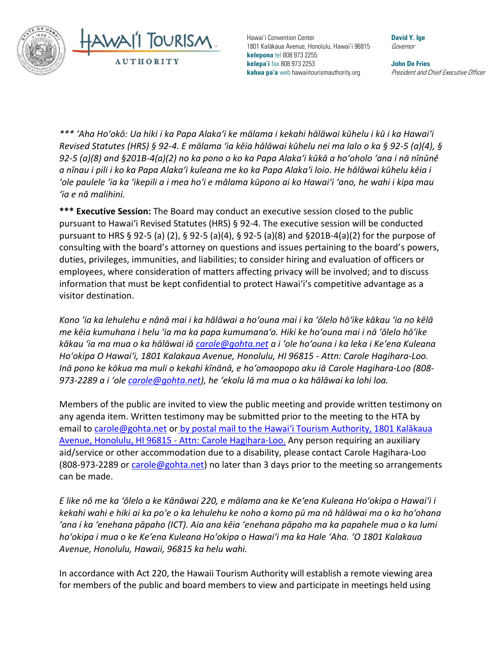



**David Y. Ige** Governor

**John De Fries** President and Chief Executive Officer

*\*\*\* ʻAha Hoʻokō: Ua hiki i ka Papa Alakaʻi ke mālama i kekahi hālāwai kūhelu i kū i ka Hawaiʻi Revised Statutes (HRS) § 92-4. E mālama ʻia kēia hālāwai kūhelu nei ma lalo o ka § 92-5 (a)(4), § 92-5 (a)(8) and §201B-4(a)(2) no ka pono o ko ka Papa Alakaʻi kūkā a hoʻoholo ʻana i nā nīnūnē a nīnau i pili i ko ka Papa Alakaʻi kuleana me ko ka Papa Alakaʻi loio. He hālāwai kūhelu kēia i ʻole paulele ʻia ka ʻikepili a i mea hoʻi e mālama kūpono ai ko Hawaiʻi ʻano, he wahi i kipa mau ʻia e nā malihini.*

**\*\*\* Executive Session:** The Board may conduct an executive session closed to the public pursuant to Hawai'i Revised Statutes (HRS) § 92-4. The executive session will be conducted pursuant to HRS § 92-5 (a) (2), § 92-5 (a)(4), § 92-5 (a)(8) and §201B-4(a)(2) for the purpose of consulting with the board's attorney on questions and issues pertaining to the board's powers, duties, privileges, immunities, and liabilities; to consider hiring and evaluation of officers or employees, where consideration of matters affecting privacy will be involved; and to discuss information that must be kept confidential to protect Hawai'i's competitive advantage as a visitor destination.

*Kono ʻia ka lehulehu e nānā mai i ka hālāwai a hoʻouna mai i ka ʻōlelo hōʻike kākau ʻia no kēlā me kēia kumuhana i helu ʻia ma ka papa kumumanaʻo. Hiki ke hoʻouna mai i nā ʻōlelo hōʻike kākau ʻia ma mua o ka hālāwai iā [carole@gohta.net](mailto:carole@gohta.net) a i ʻole hoʻouna i ka leka i Keʻena Kuleana Hoʻokipa O Hawaiʻi, 1801 Kalakaua Avenue, Honolulu, HI 96815 - Attn: Carole Hagihara-Loo. Inā pono ke kōkua ma muli o kekahi kīnānā, e hoʻomaopopo aku iā Carole Hagihara-Loo (808- 973-2289 a i ʻole [carole@gohta.net](mailto:carole@gohta.net)), he ʻekolu lā ma mua o ka hālāwai ka lohi loa.*

Members of the public are invited to view the public meeting and provide written testimony on any agenda item. Written testimony may be submitted prior to the meeting to the HTA by email to [carole@gohta.net](mailto:carole@gohta.net) or by postal mail to the Hawaiʻi Tourism Authority, 1801 Kalākaua Avenue, Honolulu, HI 96815 - Attn: Carole Hagihara-Loo. Any person requiring an auxiliary aid/service or other accommodation due to a disability, please contact Carole Hagihara-Loo (808-973-2289 or carole  $\mathcal{O}$  gohta.net) no later than 3 days prior to the meeting so arrangements can be made.

*E like nō me ka ʻōlelo a ke Kānāwai 220, e mālama ana ke Keʻena Kuleana Hoʻokipa o Hawaiʻi i kekahi wahi e hiki ai ka poʻe o ka lehulehu ke noho a komo pū ma nā hālāwai ma o ka hoʻohana ʻana i ka ʻenehana pāpaho (ICT). Aia ana kēia ʻenehana pāpaho ma ka papahele mua o ka lumi hoʻokipa i mua o ke Keʻena Kuleana Hoʻokipa o Hawaiʻi ma ka Hale ʻAha. ʻO 1801 Kalakaua Avenue, Honolulu, Hawaii, 96815 ka helu wahi.*

In accordance with Act 220, the Hawaii Tourism Authority will establish a remote viewing area for members of the public and board members to view and participate in meetings held using